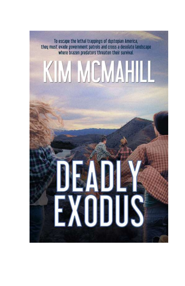To escape the lethal trappings of dustopian America, they must evade government patrols and cross a desolate landscape where brazen predators threaten their survival.

# IM MEMAH

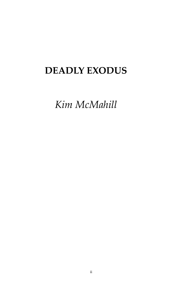#### **DEADLY EXODUS**

*Kim McMahill*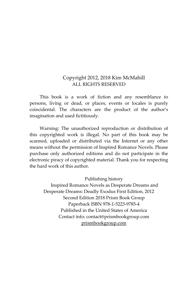#### Copyright 2012, 2018 Kim McMahill ALL RIGHTS RESERVED

This book is a work of fiction and any resemblance to persons, living or dead, or places, events or locales is purely coincidental. The characters are the product of the author's imagination and used fictitiously.

Warning: The unauthorized reproduction or distribution of this copyrighted work is illegal. No part of this book may be scanned, uploaded or distributed via the Internet or any other means without the permission of Inspired Romance Novels. Please purchase only authorized editions and do not participate in the electronic piracy of copyrighted material. Thank you for respecting the hard work of this author.

#### Publishing history

Inspired Romance Novels as Desperate Dreams and Desperate Dreams: Deadly Exodus First Edition, 2012 Second Edition 2018 Prism Book Group Paperback ISBN 978-1-5223-9785-4 Published in the United States of America Contact info: contact@prismbookgroup.com prismbookgroup.com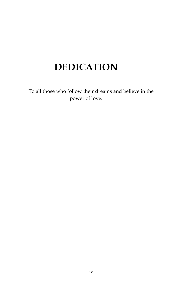#### **DEDICATION**

To all those who follow their dreams and believe in the power of love.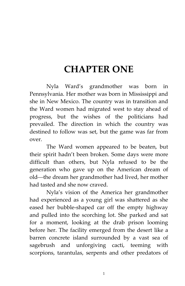#### **CHAPTER ONE**

Nyla Ward's grandmother was born in Pennsylvania. Her mother was born in Mississippi and she in New Mexico. The country was in transition and the Ward women had migrated west to stay ahead of progress, but the wishes of the politicians had prevailed. The direction in which the country was destined to follow was set, but the game was far from over.

The Ward women appeared to be beaten, but their spirit hadn't been broken. Some days were more difficult than others, but Nyla refused to be the generation who gave up on the American dream of old-the dream her grandmother had lived, her mother had tasted and she now craved.

Nyla's vision of the America her grandmother had experienced as a young girl was shattered as she eased her bubble-shaped car off the empty highway and pulled into the scorching lot. She parked and sat for a moment, looking at the drab prison looming before her. The facility emerged from the desert like a barren concrete island surrounded by a vast sea of sagebrush and unforgiving cacti, teeming with scorpions, tarantulas, serpents and other predators of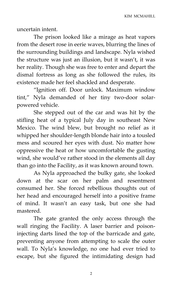uncertain intent.

The prison looked like a mirage as heat vapors from the desert rose in eerie waves, blurring the lines of the surrounding buildings and landscape. Nyla wished the structure was just an illusion, but it wasn't, it was her reality. Though she was free to enter and depart the dismal fortress as long as she followed the rules, its existence made her feel shackled and desperate.

'Ignition off. Door unlock. Maximum window tint,' Nyla demanded of her tiny two-door solarpowered vehicle.

She stepped out of the car and was hit by the stifling heat of a typical July day in southeast New Mexico. The wind blew, but brought no relief as it whipped her shoulder-length blonde hair into a tousled mess and scoured her eyes with dust. No matter how oppressive the heat or how uncomfortable the gusting wind, she would've rather stood in the elements all day than go into the Facility, as it was known around town.

As Nyla approached the bulky gate, she looked down at the scar on her palm and resentment consumed her. She forced rebellious thoughts out of her head and encouraged herself into a positive frame of mind. It wasn't an easy task, but one she had mastered.

The gate granted the only access through the wall ringing the Facility. A laser barrier and poisoninjecting darts lined the top of the barricade and gate, preventing anyone from attempting to scale the outer wall. To Nyla's knowledge, no one had ever tried to escape, but she figured the intimidating design had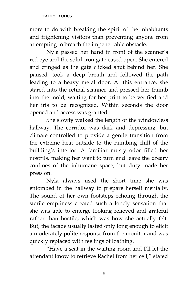more to do with breaking the spirit of the inhabitants and frightening visitors than preventing anyone from attempting to breach the impenetrable obstacle.

Nyla passed her hand in front of the scanner's red eye and the solid-iron gate eased open. She entered and cringed as the gate clicked shut behind her. She paused, took a deep breath and followed the path leading to a heavy metal door. At this entrance, she stared into the retinal scanner and pressed her thumb into the mold, waiting for her print to be verified and her iris to be recognized. Within seconds the door opened and access was granted.

She slowly walked the length of the windowless hallway. The corridor was dark and depressing, but climate controlled to provide a gentle transition from the extreme heat outside to the numbing chill of the building's interior. A familiar musty odor filled her nostrils, making her want to turn and leave the dreary confines of the inhumane space, but duty made her press on.

Nyla always used the short time she was entombed in the hallway to prepare herself mentally. The sound of her own footsteps echoing through the sterile emptiness created such a lonely sensation that she was able to emerge looking relieved and grateful rather than hostile, which was how she actually felt. But, the facade usually lasted only long enough to elicit a moderately polite response from the monitor and was quickly replaced with feelings of loathing.

'Have a seat in the waiting room and I'll let the attendant know to retrieve Rachel from her cell," stated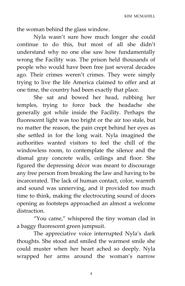the woman behind the glass window.

Nyla wasn't sure how much longer she could continue to do this, but most of all she didn't understand why no one else saw how fundamentally wrong the Facility was. The prison held thousands of people who would have been free just several decades ago. Their crimes weren't crimes. They were simply trying to live the life America claimed to offer and at one time, the country had been exactly that place.

She sat and bowed her head, rubbing her temples, trying to force back the headache she generally got while inside the Facility. Perhaps the fluorescent light was too bright or the air too stale, but no matter the reason, the pain crept behind her eyes as she settled in for the long wait. Nyla imagined the authorities wanted visitors to feel the chill of the windowless room, to contemplate the silence and the dismal gray concrete walls, ceilings and floor. She figured the depressing décor was meant to discourage any free person from breaking the law and having to be incarcerated. The lack of human contact, color, warmth and sound was unnerving, and it provided too much time to think, making the electrocuting sound of doors opening as footsteps approached an almost a welcome distraction.

'You came,' whispered the tiny woman clad in a baggy fluorescent green jumpsuit.

The appreciative voice interrupted Nyla's dark thoughts. She stood and smiled the warmest smile she could muster when her heart ached so deeply. Nyla wrapped her arms around the woman's narrow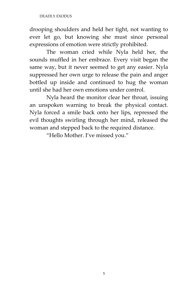drooping shoulders and held her tight, not wanting to ever let go, but knowing she must since personal expressions of emotion were strictly prohibited.

The woman cried while Nyla held her, the sounds muffled in her embrace. Every visit began the same way, but it never seemed to get any easier. Nyla suppressed her own urge to release the pain and anger bottled up inside and continued to hug the woman until she had her own emotions under control.

Nyla heard the monitor clear her throat, issuing an unspoken warning to break the physical contact. Nyla forced a smile back onto her lips, repressed the evil thoughts swirling through her mind, released the woman and stepped back to the required distance.

'Hello Mother. I've missed you.'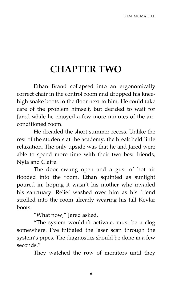### **CHAPTER TWO**

Ethan Brand collapsed into an ergonomically correct chair in the control room and dropped his kneehigh snake boots to the floor next to him. He could take care of the problem himself, but decided to wait for Jared while he enjoyed a few more minutes of the airconditioned room.

He dreaded the short summer recess. Unlike the rest of the students at the academy, the break held little relaxation. The only upside was that he and Jared were able to spend more time with their two best friends, Nyla and Claire.

The door swung open and a gust of hot air flooded into the room. Ethan squinted as sunlight poured in, hoping it wasn't his mother who invaded his sanctuary. Relief washed over him as his friend strolled into the room already wearing his tall Kevlar boots.

"What now," Jared asked.

'The system wouldn't activate, must be a clog somewhere. I've initiated the laser scan through the system's pipes. The diagnostics should be done in a few seconds.'

They watched the row of monitors until they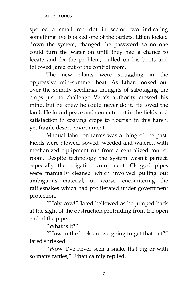spotted a small red dot in sector two indicating something live blocked one of the outlets. Ethan locked down the system, changed the password so no one could turn the water on until they had a chance to locate and fix the problem, pulled on his boots and followed Jared out of the control room.

The new plants were struggling in the oppressive mid-summer heat. As Ethan looked out over the spindly seedlings thoughts of sabotaging the crops just to challenge Vera's authority crossed his mind, but he knew he could never do it. He loved the land. He found peace and contentment in the fields and satisfaction in coaxing crops to flourish in this harsh, yet fragile desert environment.

Manual labor on farms was a thing of the past. Fields were plowed, sowed, weeded and watered with mechanized equipment run from a centralized control room. Despite technology the system wasn't perfect, especially the irrigation component. Clogged pipes were manually cleaned which involved pulling out ambiguous material, or worse, encountering the rattlesnakes which had proliferated under government protection.

'Holy cow!' Jared bellowed as he jumped back at the sight of the obstruction protruding from the open end of the pipe.

'What is it?'

'How in the heck are we going to get that out?' Jared shrieked.

'Wow, I've never seen a snake that big or with so many rattles," Ethan calmly replied.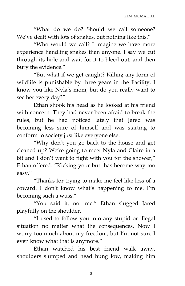'What do we do? Should we call someone? We've dealt with lots of snakes, but nothing like this."

'Who would we call? I imagine we have more experience handling snakes than anyone. I say we cut through its hide and wait for it to bleed out, and then bury the evidence."

'But what if we get caught? Killing any form of wildlife is punishable by three years in the Facility. I know you like Nyla's mom, but do you really want to see her every day?'

Ethan shook his head as he looked at his friend with concern. They had never been afraid to break the rules, but he had noticed lately that Jared was becoming less sure of himself and was starting to conform to society just like everyone else.

'Why don't you go back to the house and get cleaned up? We're going to meet Nyla and Claire in a bit and I don't want to fight with you for the shower," Ethan offered. 'Kicking your butt has become way too easy.'

'Thanks for trying to make me feel like less of a coward. I don't know what's happening to me. I'm becoming such a wuss.'

'You said it, not me.' Ethan slugged Jared playfully on the shoulder.

'I used to follow you into any stupid or illegal situation no matter what the consequences. Now I worry too much about my freedom, but I'm not sure I even know what that is anymore.'

Ethan watched his best friend walk away, shoulders slumped and head hung low, making him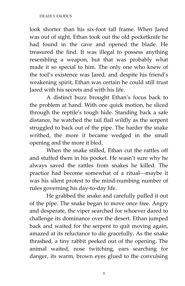look shorter than his six-foot tall frame. When Jared was out of sight, Ethan took out the old pocketknife he had found in the cave and opened the blade. He treasured the find. It was illegal to possess anything resembling a weapon, but that was probably what made it so special to him. The only one who knew of the tool's existence was Jared, and despite his friend's weakening spirit, Ethan was certain he could still trust Jared with his secrets and with his life.

A distinct buzz brought Ethan's focus back to the problem at hand. With one quick motion, he sliced through the reptile's tough hide. Standing back a safe distance, he watched the tail flail wildly as the serpent struggled to back out of the pipe. The harder the snake writhed, the more it became wedged in the small opening and the more it bled.

When the snake stilled, Ethan cut the rattles off and stuffed them in his pocket. He wasn't sure why he always saved the rattles from snakes he killed. The practice had become somewhat of a ritual-maybe it was his silent protest to the mind-numbing number of rules governing his day-to-day life.

He grabbed the snake and carefully pulled it out of the pipe. The snake began to move once free. Angry and desperate, the viper searched for whoever dared to challenge its dominance over the desert. Ethan jumped back and waited for the serpent to quit moving again, amazed at its reluctance to die gracefully. As the snake thrashed, a tiny rabbit peeked out of the opening. The animal waited, nose twitching, ears searching for danger, its warm, brown eyes glued to the convulsing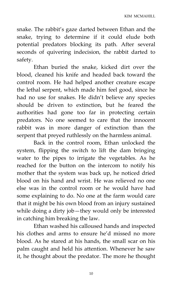snake. The rabbit's gaze darted between Ethan and the snake, trying to determine if it could elude both potential predators blocking its path. After several seconds of quivering indecision, the rabbit darted to safety.

Ethan buried the snake, kicked dirt over the blood, cleaned his knife and headed back toward the control room. He had helped another creature escape the lethal serpent, which made him feel good, since he had no use for snakes. He didn't believe any species should be driven to extinction, but he feared the authorities had gone too far in protecting certain predators. No one seemed to care that the innocent rabbit was in more danger of extinction than the serpent that preyed ruthlessly on the harmless animal.

Back in the control room, Ethan unlocked the system, flipping the switch to lift the dam bringing water to the pipes to irrigate the vegetables. As he reached for the button on the intercom to notify his mother that the system was back up, he noticed dried blood on his hand and wrist. He was relieved no one else was in the control room or he would have had some explaining to do. No one at the farm would care that it might be his own blood from an injury sustained while doing a dirty job—they would only be interested in catching him breaking the law.

Ethan washed his calloused hands and inspected his clothes and arms to ensure he'd missed no more blood. As he stared at his hands, the small scar on his palm caught and held his attention. Whenever he saw it, he thought about the predator. The more he thought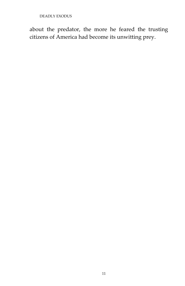DEADLY EXODUS

about the predator, the more he feared the trusting citizens of America had become its unwitting prey.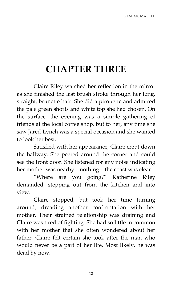## **CHAPTER THREE**

Claire Riley watched her reflection in the mirror as she finished the last brush stroke through her long, straight, brunette hair. She did a pirouette and admired the pale green shorts and white top she had chosen. On the surface, the evening was a simple gathering of friends at the local coffee shop, but to her, any time she saw Jared Lynch was a special occasion and she wanted to look her best.

Satisfied with her appearance, Claire crept down the hallway. She peered around the corner and could see the front door. She listened for any noise indicating her mother was nearby—nothing—the coast was clear.

'Where are you going?' Katherine Riley demanded, stepping out from the kitchen and into view.

Claire stopped, but took her time turning around, dreading another confrontation with her mother. Their strained relationship was draining and Claire was tired of fighting. She had so little in common with her mother that she often wondered about her father. Claire felt certain she took after the man who would never be a part of her life. Most likely, he was dead by now.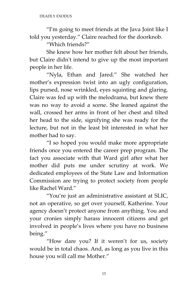'I'm going to meet friends at the Java Joint like I told you yesterday.' Claire reached for the doorknob.

'Which friends?'

She knew how her mother felt about her friends, but Claire didn't intend to give up the most important people in her life.

'Nyla, Ethan and Jared.' She watched her mother's expression twist into an ugly configuration, lips pursed, nose wrinkled, eyes squinting and glaring. Claire was fed up with the melodrama, but knew there was no way to avoid a scene. She leaned against the wall, crossed her arms in front of her chest and tilted her head to the side, signifying she was ready for the lecture, but not in the least bit interested in what her mother had to say.

'I so hoped you would make more appropriate friends once you entered the career prep program. The fact you associate with that Ward girl after what her mother did puts me under scrutiny at work. We dedicated employees of the State Law and Information Commission are trying to protect society from people like Rachel Ward.'

'You're just an administrative assistant at SLIC, not an operative, so get over yourself, Katherine. Your agency doesn't protect anyone from anything. You and your cronies simply harass innocent citizens and get involved in people's lives where you have no business being.'

'How dare you? If it weren't for us, society would be in total chaos. And, as long as you live in this house you will call me Mother.'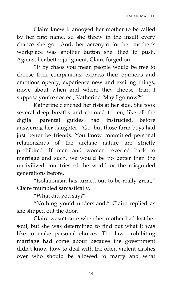Claire knew it annoyed her mother to be called by her first name, so she threw in the insult every chance she got. And, her acronym for her mother's workplace was another button she liked to push. Against her better judgment, Claire forged on.

'If by chaos you mean people would be free to choose their companions, express their opinions and emotions openly, experience new and exciting things, move about when and where they choose, than I suppose you're correct, Katherine. May I go now?"

Katherine clenched her fists at her side. She took several deep breaths and counted to ten, like all the digital parental guides had instructed, before answering her daughter. 'Go, but those farm boys had just better be friends. You know committed personal relationships of the archaic nature are strictly prohibited. If men and women reverted back to marriage and such, we would be no better than the uncivilized countries of the world or the misguided generations before.'

"Isolationism has turned out to be really great," Claire mumbled sarcastically.

'What did you say?'

'Nothing you'd understand,' Claire replied as she slipped out the door.

Claire wasn't sure when her mother had lost her soul, but she was determined to find out what it was like to make personal choices. The law prohibiting marriage had come about because the government didn't know how to deal with the often violent clashes over who should be allowed to marry and what